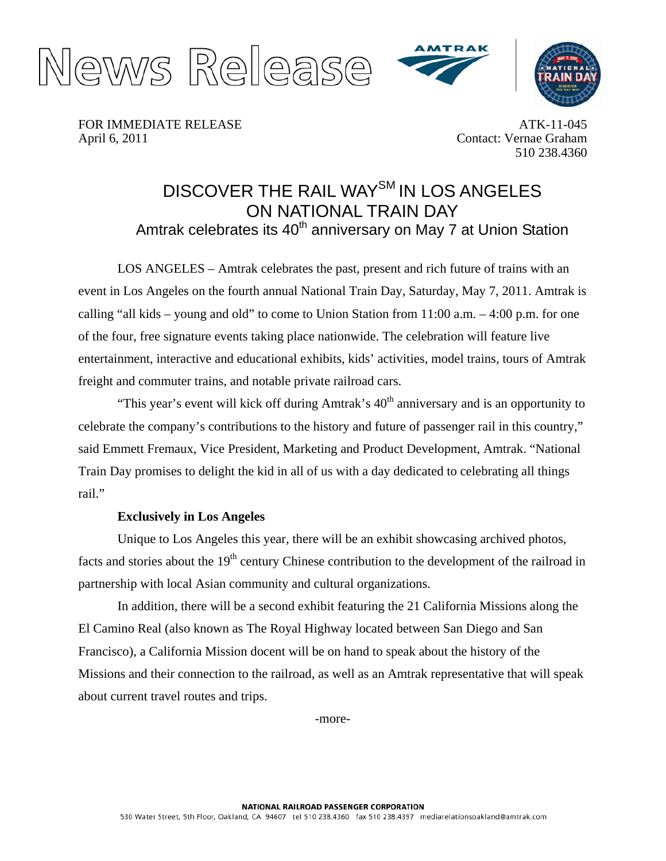





FOR IMMEDIATE RELEASE April 6, 2011

ATK-11-045 Contact: Vernae Graham 510 238.4360

## DISCOVER THE RAIL WAY<sup>SM</sup> IN LOS ANGELES ON NATIONAL TRAIN DAY Amtrak celebrates its 40<sup>th</sup> anniversary on May 7 at Union Station

LOS ANGELES – Amtrak celebrates the past, present and rich future of trains with an event in Los Angeles on the fourth annual National Train Day, Saturday, May 7, 2011. Amtrak is calling "all kids – young and old" to come to Union Station from 11:00 a.m. – 4:00 p.m. for one of the four, free signature events taking place nationwide. The celebration will feature live entertainment, interactive and educational exhibits, kids' activities, model trains, tours of Amtrak freight and commuter trains, and notable private railroad cars.

"This year's event will kick off during Amtrak's  $40<sup>th</sup>$  anniversary and is an opportunity to celebrate the company's contributions to the history and future of passenger rail in this country," said Emmett Fremaux, Vice President, Marketing and Product Development, Amtrak. "National Train Day promises to delight the kid in all of us with a day dedicated to celebrating all things rail."

## **Exclusively in Los Angeles**

Unique to Los Angeles this year, there will be an exhibit showcasing archived photos, facts and stories about the 19<sup>th</sup> century Chinese contribution to the development of the railroad in partnership with local Asian community and cultural organizations.

In addition, there will be a second exhibit featuring the 21 California Missions along the El Camino Real (also known as The Royal Highway located between San Diego and San Francisco), a California Mission docent will be on hand to speak about the history of the Missions and their connection to the railroad, as well as an Amtrak representative that will speak about current travel routes and trips.

-more-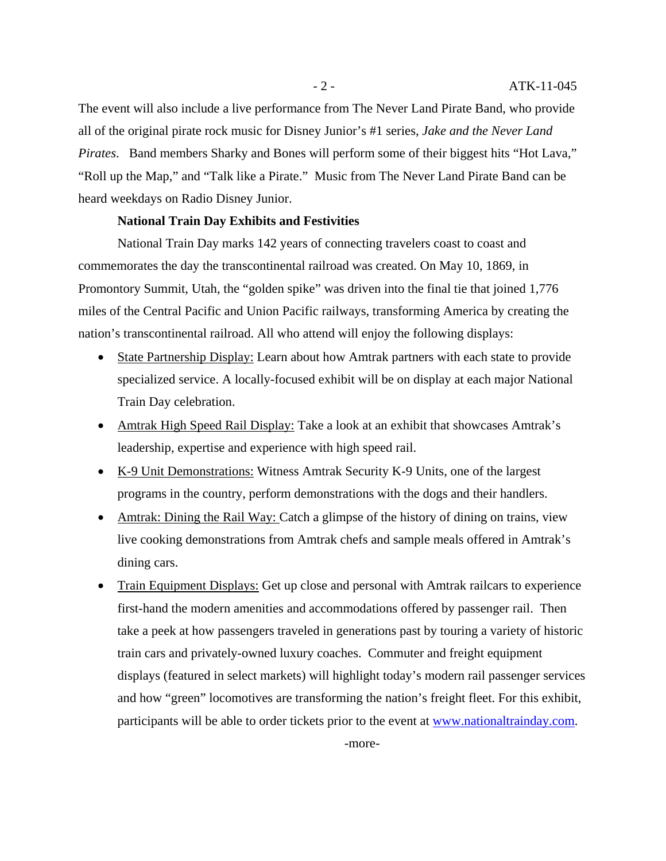The event will also include a live performance from The Never Land Pirate Band, who provide all of the original pirate rock music for Disney Junior's #1 series, *Jake and the Never Land Pirates*. Band members Sharky and Bones will perform some of their biggest hits "Hot Lava," "Roll up the Map," and "Talk like a Pirate." Music from The Never Land Pirate Band can be heard weekdays on Radio Disney Junior.

## **National Train Day Exhibits and Festivities**

National Train Day marks 142 years of connecting travelers coast to coast and commemorates the day the transcontinental railroad was created. On May 10, 1869, in Promontory Summit, Utah, the "golden spike" was driven into the final tie that joined 1,776 miles of the Central Pacific and Union Pacific railways, transforming America by creating the nation's transcontinental railroad. All who attend will enjoy the following displays:

- State Partnership Display: Learn about how Amtrak partners with each state to provide specialized service. A locally-focused exhibit will be on display at each major National Train Day celebration.
- Amtrak High Speed Rail Display: Take a look at an exhibit that showcases Amtrak's leadership, expertise and experience with high speed rail.
- K-9 Unit Demonstrations: Witness Amtrak Security K-9 Units, one of the largest programs in the country, perform demonstrations with the dogs and their handlers.
- Amtrak: Dining the Rail Way: Catch a glimpse of the history of dining on trains, view live cooking demonstrations from Amtrak chefs and sample meals offered in Amtrak's dining cars.
- Train Equipment Displays: Get up close and personal with Amtrak railcars to experience first-hand the modern amenities and accommodations offered by passenger rail. Then take a peek at how passengers traveled in generations past by touring a variety of historic train cars and privately-owned luxury coaches. Commuter and freight equipment displays (featured in select markets) will highlight today's modern rail passenger services and how "green" locomotives are transforming the nation's freight fleet. For this exhibit, participants will be able to order tickets prior to the event at [www.nationaltrainday.com.](http://www.nationaltrainday.com/)

-more-